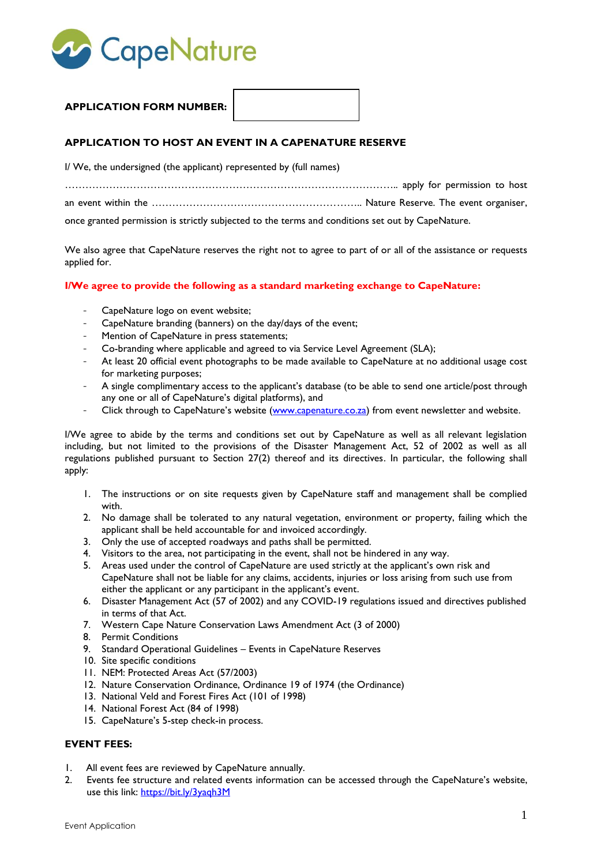

## **APPLICATION FORM NUMBER:**

## **APPLICATION TO HOST AN EVENT IN A CAPENATURE RESERVE**

I/ We, the undersigned (the applicant) represented by (full names)

…………………………………………………………………………………….. apply for permission to host an event within the …………………………………………………….. Nature Reserve. The event organiser,

once granted permission is strictly subjected to the terms and conditions set out by CapeNature.

We also agree that CapeNature reserves the right not to agree to part of or all of the assistance or requests applied for.

#### **I/We agree to provide the following as a standard marketing exchange to CapeNature:**

- CapeNature logo on event website;
- CapeNature branding (banners) on the day/days of the event;
- Mention of CapeNature in press statements;
- Co-branding where applicable and agreed to via Service Level Agreement (SLA);
- At least 20 official event photographs to be made available to CapeNature at no additional usage cost for marketing purposes;
- A single complimentary access to the applicant's database (to be able to send one article/post through any one or all of CapeNature's digital platforms), and
- Click through to CapeNature's website [\(www.capenature.co.za\)](http://www.capenature.co.za/) from event newsletter and website.

I/We agree to abide by the terms and conditions set out by CapeNature as well as all relevant legislation including, but not limited to the provisions of the Disaster Management Act, 52 of 2002 as well as all regulations published pursuant to Section 27(2) thereof and its directives. In particular, the following shall apply:

- 1. The instructions or on site requests given by CapeNature staff and management shall be complied with.
- 2. No damage shall be tolerated to any natural vegetation, environment or property, failing which the applicant shall be held accountable for and invoiced accordingly.
- 3. Only the use of accepted roadways and paths shall be permitted.
- 4. Visitors to the area, not participating in the event, shall not be hindered in any way.
- 5. Areas used under the control of CapeNature are used strictly at the applicant's own risk and CapeNature shall not be liable for any claims, accidents, injuries or loss arising from such use from either the applicant or any participant in the applicant's event.
- 6. Disaster Management Act (57 of 2002) and any COVID-19 regulations issued and directives published in terms of that Act.
- 7. Western Cape Nature Conservation Laws Amendment Act (3 of 2000)
- 8. Permit Conditions
- 9. Standard Operational Guidelines Events in CapeNature Reserves
- 10. Site specific conditions
- 11. NEM: Protected Areas Act (57/2003)
- 12. Nature Conservation Ordinance, Ordinance 19 of 1974 (the Ordinance)
- 13. National Veld and Forest Fires Act (101 of 1998)
- 14. National Forest Act (84 of 1998)
- 15. CapeNature's 5-step check-in process.

#### **EVENT FEES:**

- 1. All event fees are reviewed by CapeNature annually.
- 2. Events fee structure and related events information can be accessed through the CapeNature's website, use this link:<https://bit.ly/3yaqh3M>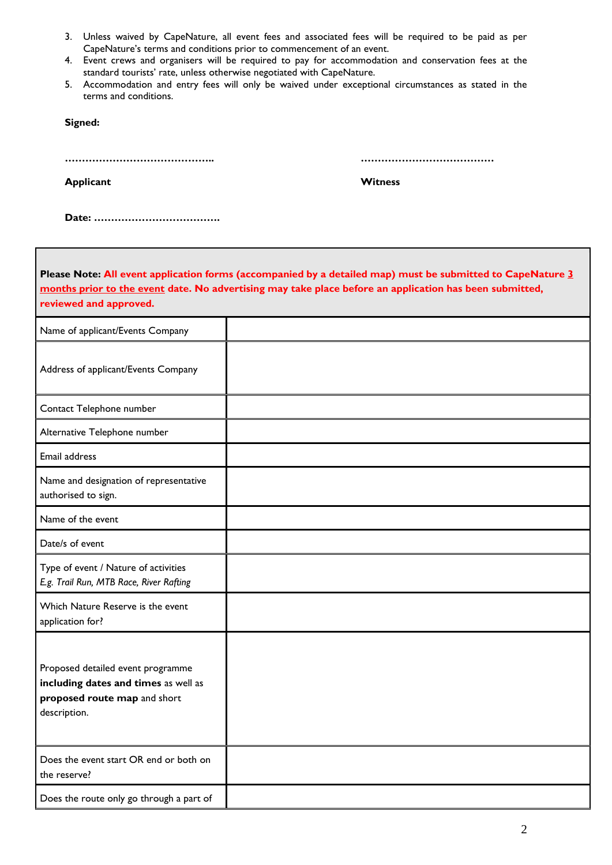- 3. Unless waived by CapeNature, all event fees and associated fees will be required to be paid as per CapeNature's terms and conditions prior to commencement of an event.
- 4. Event crews and organisers will be required to pay for accommodation and conservation fees at the standard tourists' rate, unless otherwise negotiated with CapeNature.
- 5. Accommodation and entry fees will only be waived under exceptional circumstances as stated in the terms and conditions.

**Signed:**

**…………………………………….. …………………………………**

**Applicant** Witness

**Date: ……………………………….**

| Please Note: All event application forms (accompanied by a detailed map) must be submitted to CapeNature 3<br>months prior to the event date. No advertising may take place before an application has been submitted,<br>reviewed and approved. |  |  |  |  |
|-------------------------------------------------------------------------------------------------------------------------------------------------------------------------------------------------------------------------------------------------|--|--|--|--|
| Name of applicant/Events Company                                                                                                                                                                                                                |  |  |  |  |
| Address of applicant/Events Company                                                                                                                                                                                                             |  |  |  |  |
| Contact Telephone number                                                                                                                                                                                                                        |  |  |  |  |
| Alternative Telephone number                                                                                                                                                                                                                    |  |  |  |  |
| Email address                                                                                                                                                                                                                                   |  |  |  |  |
| Name and designation of representative<br>authorised to sign.                                                                                                                                                                                   |  |  |  |  |
| Name of the event                                                                                                                                                                                                                               |  |  |  |  |
| Date/s of event                                                                                                                                                                                                                                 |  |  |  |  |
| Type of event / Nature of activities<br>E.g. Trail Run, MTB Race, River Rafting                                                                                                                                                                 |  |  |  |  |
| Which Nature Reserve is the event<br>application for?                                                                                                                                                                                           |  |  |  |  |
| Proposed detailed event programme<br>including dates and times as well as<br>proposed route map and short<br>description.                                                                                                                       |  |  |  |  |
| Does the event start OR end or both on<br>the reserve?                                                                                                                                                                                          |  |  |  |  |
| Does the route only go through a part of                                                                                                                                                                                                        |  |  |  |  |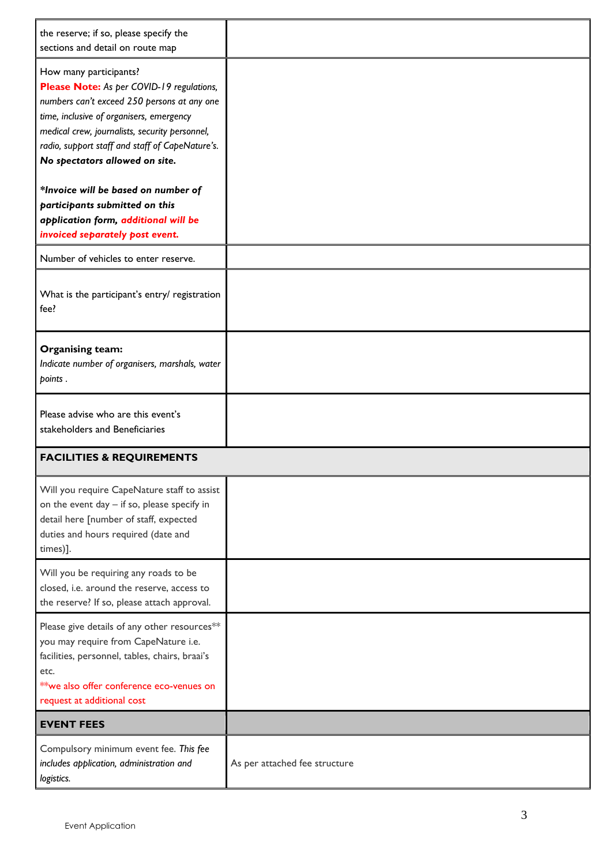| the reserve; if so, please specify the<br>sections and detail on route map                                                                                                                                                                                                                            |                               |
|-------------------------------------------------------------------------------------------------------------------------------------------------------------------------------------------------------------------------------------------------------------------------------------------------------|-------------------------------|
| How many participants?<br>Please Note: As per COVID-19 regulations,<br>numbers can't exceed 250 persons at any one<br>time, inclusive of organisers, emergency<br>medical crew, journalists, security personnel,<br>radio, support staff and staff of CapeNature's.<br>No spectators allowed on site. |                               |
| *Invoice will be based on number of<br>participants submitted on this<br>application form, additional will be<br>invoiced separately post event.                                                                                                                                                      |                               |
| Number of vehicles to enter reserve.                                                                                                                                                                                                                                                                  |                               |
| What is the participant's entry/ registration<br>fee?                                                                                                                                                                                                                                                 |                               |
| <b>Organising team:</b><br>Indicate number of organisers, marshals, water<br>points.                                                                                                                                                                                                                  |                               |
| Please advise who are this event's<br>stakeholders and Beneficiaries                                                                                                                                                                                                                                  |                               |
| <b>FACILITIES &amp; REQUIREMENTS</b>                                                                                                                                                                                                                                                                  |                               |
| Will you require CapeNature staff to assist<br>on the event day - if so, please specify in<br>detail here [number of staff, expected<br>duties and hours required (date and<br>times)].                                                                                                               |                               |
| Will you be requiring any roads to be<br>closed, i.e. around the reserve, access to<br>the reserve? If so, please attach approval.                                                                                                                                                                    |                               |
| Please give details of any other resources**<br>you may require from CapeNature i.e.<br>facilities, personnel, tables, chairs, braai's<br>etc.<br>**we also offer conference eco-venues on<br>request at additional cost                                                                              |                               |
| <b>EVENT FEES</b>                                                                                                                                                                                                                                                                                     |                               |
| Compulsory minimum event fee. This fee<br>includes application, administration and<br>logistics.                                                                                                                                                                                                      | As per attached fee structure |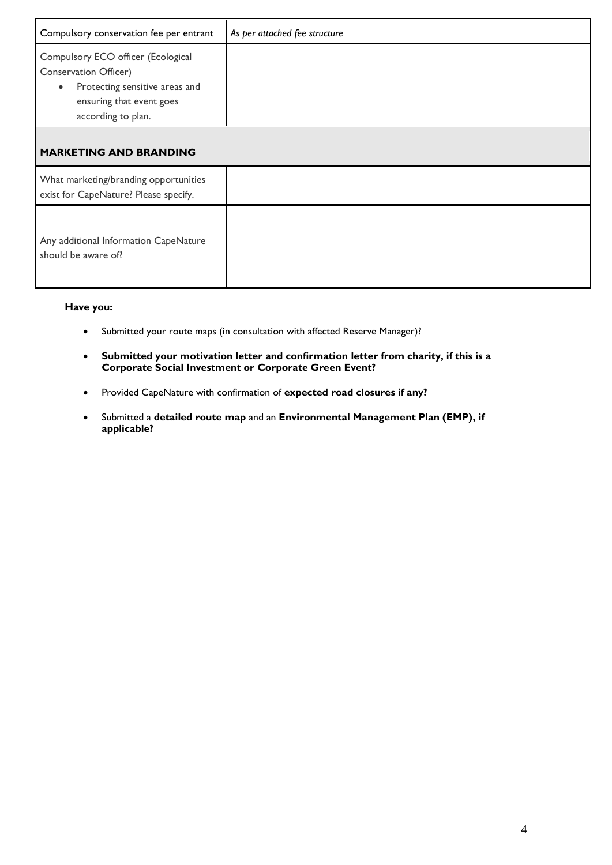| Compulsory conservation fee per entrant                                                                                                                      | As per attached fee structure |
|--------------------------------------------------------------------------------------------------------------------------------------------------------------|-------------------------------|
| Compulsory ECO officer (Ecological<br>Conservation Officer)<br>Protecting sensitive areas and<br>$\bullet$<br>ensuring that event goes<br>according to plan. |                               |
| <b>MARKETING AND BRANDING</b>                                                                                                                                |                               |
| What marketing/branding opportunities<br>exist for CapeNature? Please specify.                                                                               |                               |
| Any additional Information CapeNature<br>should be aware of?                                                                                                 |                               |

## **Have you:**

- Submitted your route maps (in consultation with affected Reserve Manager)?
- **Submitted your motivation letter and confirmation letter from charity, if this is a Corporate Social Investment or Corporate Green Event?**
- Provided CapeNature with confirmation of **expected road closures if any?**
- Submitted a **detailed route map** and an **Environmental Management Plan (EMP), if applicable?**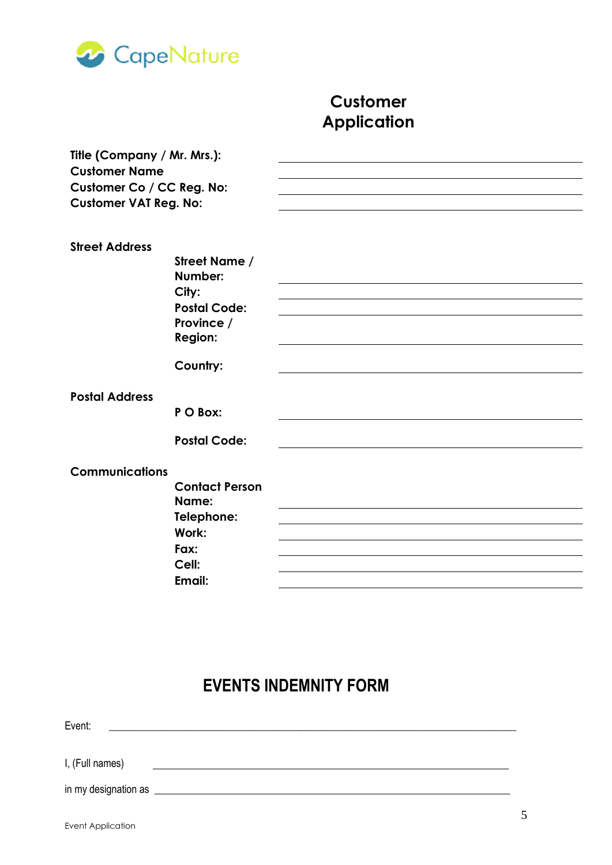

# **Customer Application**

| Title (Company / Mr. Mrs.):  |                       |  |
|------------------------------|-----------------------|--|
| <b>Customer Name</b>         |                       |  |
| Customer Co / CC Reg. No:    |                       |  |
| <b>Customer VAT Reg. No:</b> |                       |  |
|                              |                       |  |
|                              |                       |  |
| <b>Street Address</b>        | Street Name /         |  |
|                              | Number:               |  |
|                              | City:                 |  |
|                              | <b>Postal Code:</b>   |  |
|                              | Province /            |  |
|                              | <b>Region:</b>        |  |
|                              |                       |  |
|                              | Country:              |  |
| <b>Postal Address</b>        |                       |  |
|                              | P O Box:              |  |
|                              | <b>Postal Code:</b>   |  |
|                              |                       |  |
| <b>Communications</b>        |                       |  |
|                              | <b>Contact Person</b> |  |
|                              | Name:                 |  |
|                              | Telephone:            |  |
|                              | Work:                 |  |
|                              | Fax:                  |  |
|                              | Cell:                 |  |
|                              | Email:                |  |
|                              |                       |  |

## **EVENTS INDEMNITY FORM**

Event: \_\_\_\_\_\_\_\_\_\_\_\_\_\_\_\_\_\_\_\_\_\_\_\_\_\_\_\_\_\_\_\_\_\_\_\_\_\_\_\_\_\_\_\_\_\_\_\_\_\_\_\_\_\_\_\_\_\_\_\_\_\_\_\_\_\_\_\_\_\_\_\_\_\_\_\_\_\_\_

I, (Full names)

in my designation as \_\_\_\_\_\_\_\_\_\_\_\_\_\_\_\_\_\_\_\_\_\_\_\_\_\_\_\_\_\_\_\_\_\_\_\_\_\_\_\_\_\_\_\_\_\_\_\_\_\_\_\_\_\_\_\_\_\_\_\_\_\_\_\_\_\_\_\_\_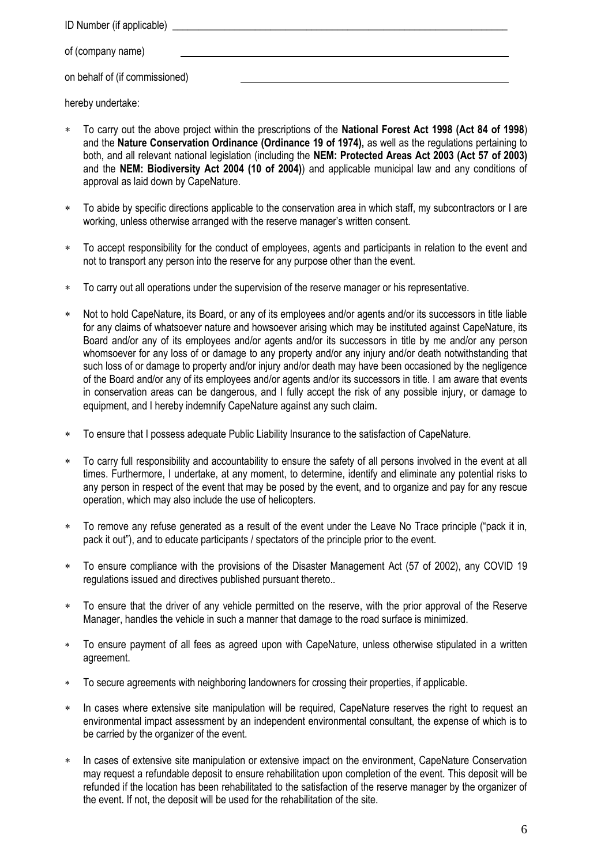ID Number (if applicable) of (company name) on behalf of (if commissioned)

hereby undertake:

- To carry out the above project within the prescriptions of the **National Forest Act 1998 (Act 84 of 1998**) and the **Nature Conservation Ordinance (Ordinance 19 of 1974),** as well as the regulations pertaining to both, and all relevant national legislation (including the **NEM: Protected Areas Act 2003 (Act 57 of 2003)** and the **NEM: Biodiversity Act 2004 (10 of 2004)**) and applicable municipal law and any conditions of approval as laid down by CapeNature.
- To abide by specific directions applicable to the conservation area in which staff, my subcontractors or I are working, unless otherwise arranged with the reserve manager's written consent.
- To accept responsibility for the conduct of employees, agents and participants in relation to the event and not to transport any person into the reserve for any purpose other than the event.
- To carry out all operations under the supervision of the reserve manager or his representative.
- Not to hold CapeNature, its Board, or any of its employees and/or agents and/or its successors in title liable for any claims of whatsoever nature and howsoever arising which may be instituted against CapeNature, its Board and/or any of its employees and/or agents and/or its successors in title by me and/or any person whomsoever for any loss of or damage to any property and/or any injury and/or death notwithstanding that such loss of or damage to property and/or injury and/or death may have been occasioned by the negligence of the Board and/or any of its employees and/or agents and/or its successors in title. I am aware that events in conservation areas can be dangerous, and I fully accept the risk of any possible injury, or damage to equipment, and I hereby indemnify CapeNature against any such claim.
- To ensure that I possess adequate Public Liability Insurance to the satisfaction of CapeNature.
- To carry full responsibility and accountability to ensure the safety of all persons involved in the event at all times. Furthermore, I undertake, at any moment, to determine, identify and eliminate any potential risks to any person in respect of the event that may be posed by the event, and to organize and pay for any rescue operation, which may also include the use of helicopters.
- To remove any refuse generated as a result of the event under the Leave No Trace principle ("pack it in, pack it out"), and to educate participants / spectators of the principle prior to the event.
- To ensure compliance with the provisions of the Disaster Management Act (57 of 2002), any COVID 19 regulations issued and directives published pursuant thereto..
- To ensure that the driver of any vehicle permitted on the reserve, with the prior approval of the Reserve Manager, handles the vehicle in such a manner that damage to the road surface is minimized.
- To ensure payment of all fees as agreed upon with CapeNature, unless otherwise stipulated in a written agreement.
- To secure agreements with neighboring landowners for crossing their properties, if applicable.
- In cases where extensive site manipulation will be required, CapeNature reserves the right to request an environmental impact assessment by an independent environmental consultant, the expense of which is to be carried by the organizer of the event.
- In cases of extensive site manipulation or extensive impact on the environment, CapeNature Conservation may request a refundable deposit to ensure rehabilitation upon completion of the event. This deposit will be refunded if the location has been rehabilitated to the satisfaction of the reserve manager by the organizer of the event. If not, the deposit will be used for the rehabilitation of the site.